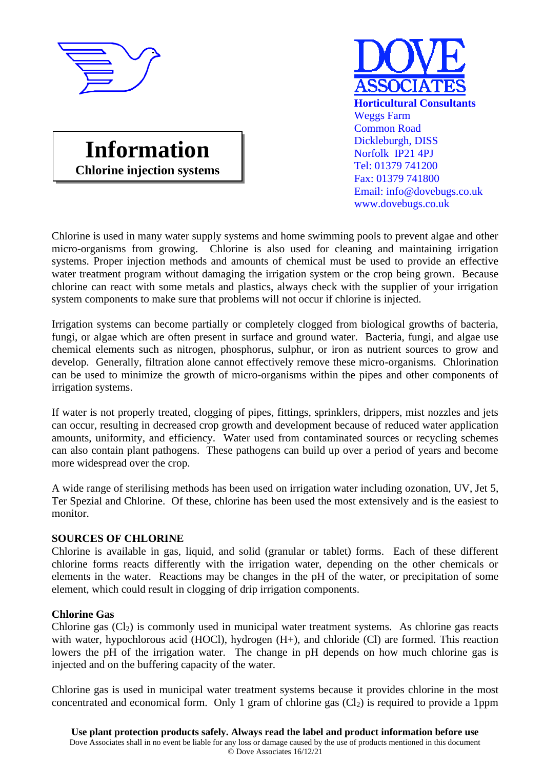





Chlorine is used in many water supply systems and home swimming pools to prevent algae and other micro-organisms from growing. Chlorine is also used for cleaning and maintaining irrigation systems. Proper injection methods and amounts of chemical must be used to provide an effective water treatment program without damaging the irrigation system or the crop being grown. Because chlorine can react with some metals and plastics, always check with the supplier of your irrigation system components to make sure that problems will not occur if chlorine is injected.

Irrigation systems can become partially or completely clogged from biological growths of bacteria, fungi, or algae which are often present in surface and ground water. Bacteria, fungi, and algae use chemical elements such as nitrogen, phosphorus, sulphur, or iron as nutrient sources to grow and develop. Generally, filtration alone cannot effectively remove these micro-organisms. Chlorination can be used to minimize the growth of micro-organisms within the pipes and other components of irrigation systems.

If water is not properly treated, clogging of pipes, fittings, sprinklers, drippers, mist nozzles and jets can occur, resulting in decreased crop growth and development because of reduced water application amounts, uniformity, and efficiency. Water used from contaminated sources or recycling schemes can also contain plant pathogens. These pathogens can build up over a period of years and become more widespread over the crop.

A wide range of sterilising methods has been used on irrigation water including ozonation, UV, Jet 5, Ter Spezial and Chlorine. Of these, chlorine has been used the most extensively and is the easiest to monitor.

# **SOURCES OF CHLORINE**

Chlorine is available in gas, liquid, and solid (granular or tablet) forms. Each of these different chlorine forms reacts differently with the irrigation water, depending on the other chemicals or elements in the water. Reactions may be changes in the pH of the water, or precipitation of some element, which could result in clogging of drip irrigation components.

### **Chlorine Gas**

Chlorine gas  $(Cl<sub>2</sub>)$  is commonly used in municipal water treatment systems. As chlorine gas reacts with water, hypochlorous acid (HOCl), hydrogen (H+), and chloride (Cl) are formed. This reaction lowers the pH of the irrigation water. The change in pH depends on how much chlorine gas is injected and on the buffering capacity of the water.

Chlorine gas is used in municipal water treatment systems because it provides chlorine in the most concentrated and economical form. Only 1 gram of chlorine gas  $(Cl<sub>2</sub>)$  is required to provide a 1ppm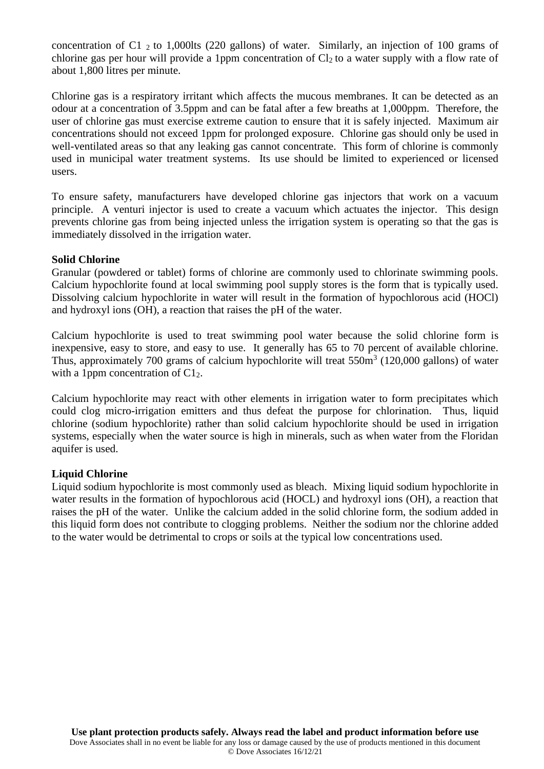concentration of C1  $_2$  to 1,000lts (220 gallons) of water. Similarly, an injection of 100 grams of chlorine gas per hour will provide a 1ppm concentration of  $Cl_2$  to a water supply with a flow rate of about 1,800 litres per minute.

Chlorine gas is a respiratory irritant which affects the mucous membranes. It can be detected as an odour at a concentration of 3.5ppm and can be fatal after a few breaths at 1,000ppm. Therefore, the user of chlorine gas must exercise extreme caution to ensure that it is safely injected. Maximum air concentrations should not exceed 1ppm for prolonged exposure. Chlorine gas should only be used in well-ventilated areas so that any leaking gas cannot concentrate. This form of chlorine is commonly used in municipal water treatment systems. Its use should be limited to experienced or licensed users.

To ensure safety, manufacturers have developed chlorine gas injectors that work on a vacuum principle. A venturi injector is used to create a vacuum which actuates the injector. This design prevents chlorine gas from being injected unless the irrigation system is operating so that the gas is immediately dissolved in the irrigation water.

### **Solid Chlorine**

Granular (powdered or tablet) forms of chlorine are commonly used to chlorinate swimming pools. Calcium hypochlorite found at local swimming pool supply stores is the form that is typically used. Dissolving calcium hypochlorite in water will result in the formation of hypochlorous acid (HOCl) and hydroxyl ions (OH), a reaction that raises the pH of the water.

Calcium hypochlorite is used to treat swimming pool water because the solid chlorine form is inexpensive, easy to store, and easy to use. It generally has 65 to 70 percent of available chlorine. Thus, approximately 700 grams of calcium hypochlorite will treat  $550m<sup>3</sup>$  (120,000 gallons) of water with a 1ppm concentration of  $C1<sub>2</sub>$ .

Calcium hypochlorite may react with other elements in irrigation water to form precipitates which could clog micro-irrigation emitters and thus defeat the purpose for chlorination. Thus, liquid chlorine (sodium hypochlorite) rather than solid calcium hypochlorite should be used in irrigation systems, especially when the water source is high in minerals, such as when water from the Floridan aquifer is used.

### **Liquid Chlorine**

Liquid sodium hypochlorite is most commonly used as bleach. Mixing liquid sodium hypochlorite in water results in the formation of hypochlorous acid (HOCL) and hydroxyl ions (OH), a reaction that raises the pH of the water. Unlike the calcium added in the solid chlorine form, the sodium added in this liquid form does not contribute to clogging problems. Neither the sodium nor the chlorine added to the water would be detrimental to crops or soils at the typical low concentrations used.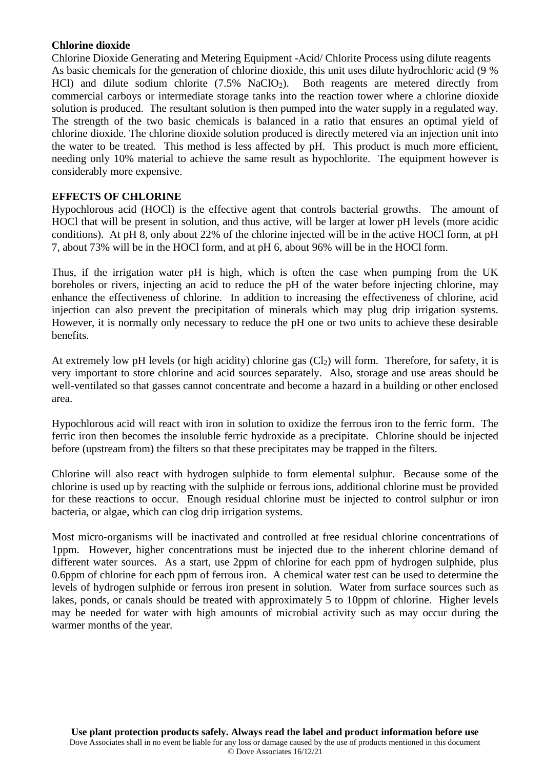## **Chlorine dioxide**

Chlorine Dioxide Generating and Metering Equipment -Acid/ Chlorite Process using dilute reagents As basic chemicals for the generation of chlorine dioxide, this unit uses dilute hydrochloric acid (9 % HCl) and dilute sodium chlorite (7.5% NaClO<sub>2</sub>). Both reagents are metered directly from commercial carboys or intermediate storage tanks into the reaction tower where a chlorine dioxide solution is produced. The resultant solution is then pumped into the water supply in a regulated way. The strength of the two basic chemicals is balanced in a ratio that ensures an optimal yield of chlorine dioxide. The chlorine dioxide solution produced is directly metered via an injection unit into the water to be treated. This method is less affected by pH. This product is much more efficient, needing only 10% material to achieve the same result as hypochlorite. The equipment however is considerably more expensive.

## **EFFECTS OF CHLORINE**

Hypochlorous acid (HOCl) is the effective agent that controls bacterial growths. The amount of HOCl that will be present in solution, and thus active, will be larger at lower pH levels (more acidic conditions). At pH 8, only about 22% of the chlorine injected will be in the active HOCl form, at pH 7, about 73% will be in the HOCl form, and at pH 6, about 96% will be in the HOCl form.

Thus, if the irrigation water pH is high, which is often the case when pumping from the UK boreholes or rivers, injecting an acid to reduce the pH of the water before injecting chlorine, may enhance the effectiveness of chlorine. In addition to increasing the effectiveness of chlorine, acid injection can also prevent the precipitation of minerals which may plug drip irrigation systems. However, it is normally only necessary to reduce the pH one or two units to achieve these desirable benefits.

At extremely low pH levels (or high acidity) chlorine gas  $(Cl<sub>2</sub>)$  will form. Therefore, for safety, it is very important to store chlorine and acid sources separately. Also, storage and use areas should be well-ventilated so that gasses cannot concentrate and become a hazard in a building or other enclosed area.

Hypochlorous acid will react with iron in solution to oxidize the ferrous iron to the ferric form. The ferric iron then becomes the insoluble ferric hydroxide as a precipitate. Chlorine should be injected before (upstream from) the filters so that these precipitates may be trapped in the filters.

Chlorine will also react with hydrogen sulphide to form elemental sulphur. Because some of the chlorine is used up by reacting with the sulphide or ferrous ions, additional chlorine must be provided for these reactions to occur. Enough residual chlorine must be injected to control sulphur or iron bacteria, or algae, which can clog drip irrigation systems.

Most micro-organisms will be inactivated and controlled at free residual chlorine concentrations of 1ppm. However, higher concentrations must be injected due to the inherent chlorine demand of different water sources. As a start, use 2ppm of chlorine for each ppm of hydrogen sulphide, plus 0.6ppm of chlorine for each ppm of ferrous iron. A chemical water test can be used to determine the levels of hydrogen sulphide or ferrous iron present in solution. Water from surface sources such as lakes, ponds, or canals should be treated with approximately 5 to 10ppm of chlorine. Higher levels may be needed for water with high amounts of microbial activity such as may occur during the warmer months of the year.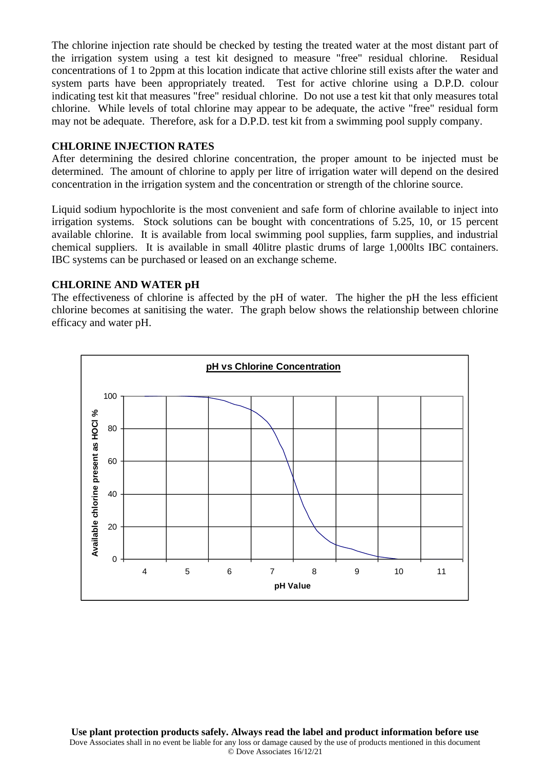The chlorine injection rate should be checked by testing the treated water at the most distant part of the irrigation system using a test kit designed to measure "free" residual chlorine. Residual concentrations of 1 to 2ppm at this location indicate that active chlorine still exists after the water and system parts have been appropriately treated. Test for active chlorine using a D.P.D. colour indicating test kit that measures "free" residual chlorine. Do not use a test kit that only measures total chlorine. While levels of total chlorine may appear to be adequate, the active "free" residual form may not be adequate. Therefore, ask for a D.P.D. test kit from a swimming pool supply company.

### **CHLORINE INJECTION RATES**

After determining the desired chlorine concentration, the proper amount to be injected must be determined. The amount of chlorine to apply per litre of irrigation water will depend on the desired concentration in the irrigation system and the concentration or strength of the chlorine source.

Liquid sodium hypochlorite is the most convenient and safe form of chlorine available to inject into irrigation systems. Stock solutions can be bought with concentrations of 5.25, 10, or 15 percent available chlorine. It is available from local swimming pool supplies, farm supplies, and industrial chemical suppliers. It is available in small 40litre plastic drums of large 1,000lts IBC containers. IBC systems can be purchased or leased on an exchange scheme.

## **CHLORINE AND WATER pH**

The effectiveness of chlorine is affected by the pH of water. The higher the pH the less efficient chlorine becomes at sanitising the water. The graph below shows the relationship between chlorine efficacy and water pH.